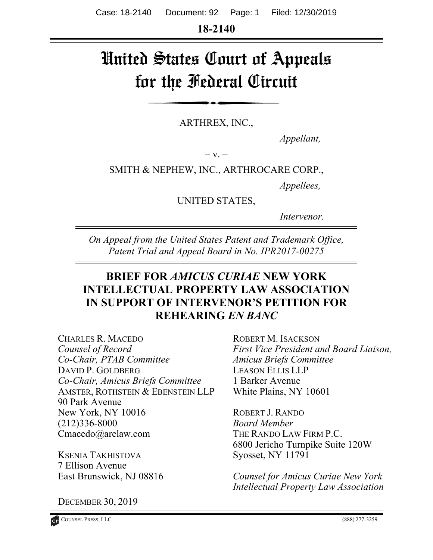**18-2140** 

# United States Court of Appeals for the Federal Circuit

ARTHREX, INC.,

 *Appellant,* 

 $-V. -$ 

SMITH & NEPHEW, INC., ARTHROCARE CORP.,

 *Appellees,* 

UNITED STATES,

 *Intervenor.* 

*On Appeal from the United States Patent and Trademark Office, Patent Trial and Appeal Board in No. IPR2017-00275* 

# **BRIEF FOR** *AMICUS CURIAE* **NEW YORK INTELLECTUAL PROPERTY LAW ASSOCIATION IN SUPPORT OF INTERVENOR'S PETITION FOR REHEARING** *EN BANC*

CHARLES R. MACEDO *Counsel of Record Co-Chair, PTAB Committee*  DAVID P. GOLDBERG *Co-Chair, Amicus Briefs Committee* AMSTER, ROTHSTEIN & EBENSTEIN LLP 90 Park Avenue New York, NY 10016 (212)336-8000 Cmacedo@arelaw.com

KSENIA TAKHISTOVA 7 Ellison Avenue East Brunswick, NJ 08816

DECEMBER 30, 2019

ROBERT M. ISACKSON *First Vice President and Board Liaison, Amicus Briefs Committee*  LEASON ELLIS LLP 1 Barker Avenue White Plains, NY 10601

ROBERT J. RANDO *Board Member*  THE RANDO LAW FIRM P.C. 6800 Jericho Turnpike Suite 120W Syosset, NY 11791

*Counsel for Amicus Curiae New York Intellectual Property Law Association*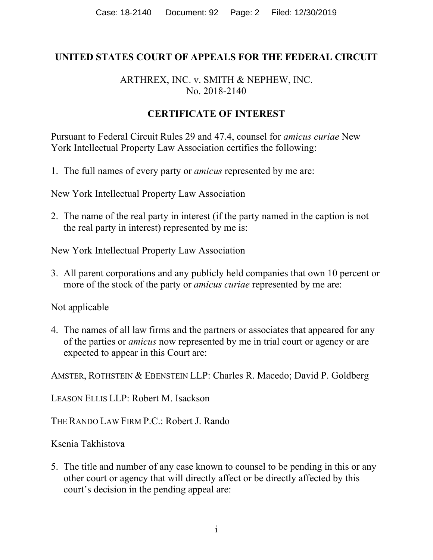#### **UNITED STATES COURT OF APPEALS FOR THE FEDERAL CIRCUIT**

### ARTHREX, INC. v. SMITH & NEPHEW, INC. No. 2018-2140

## **CERTIFICATE OF INTEREST**

Pursuant to Federal Circuit Rules 29 and 47.4, counsel for *amicus curiae* New York Intellectual Property Law Association certifies the following:

1. The full names of every party or *amicus* represented by me are:

New York Intellectual Property Law Association

2. The name of the real party in interest (if the party named in the caption is not the real party in interest) represented by me is:

New York Intellectual Property Law Association

3. All parent corporations and any publicly held companies that own 10 percent or more of the stock of the party or *amicus curiae* represented by me are:

Not applicable

4. The names of all law firms and the partners or associates that appeared for any of the parties or *amicus* now represented by me in trial court or agency or are expected to appear in this Court are:

AMSTER, ROTHSTEIN & EBENSTEIN LLP: Charles R. Macedo; David P. Goldberg

LEASON ELLIS LLP: Robert M. Isackson

THE RANDO LAW FIRM P.C.: Robert J. Rando

Ksenia Takhistova

5. The title and number of any case known to counsel to be pending in this or any other court or agency that will directly affect or be directly affected by this court's decision in the pending appeal are: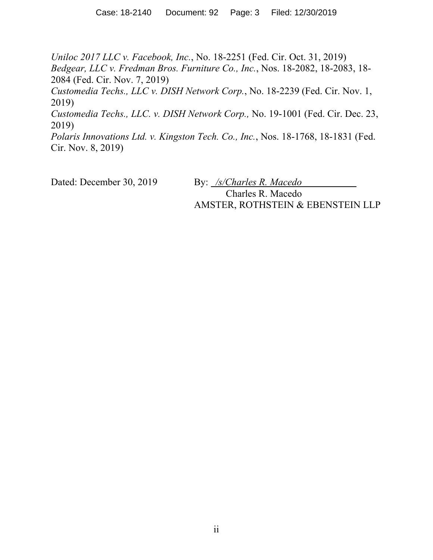*Uniloc 2017 LLC v. Facebook, Inc.*, No. 18-2251 (Fed. Cir. Oct. 31, 2019) *Bedgear, LLC v. Fredman Bros. Furniture Co., Inc.*, Nos. 18-2082, 18-2083, 18- 2084 (Fed. Cir. Nov. 7, 2019)

*Customedia Techs., LLC v. DISH Network Corp.*, No. 18-2239 (Fed. Cir. Nov. 1, 2019)

*Customedia Techs., LLC. v. DISH Network Corp.,* No. 19-1001 (Fed. Cir. Dec. 23, 2019)

*Polaris Innovations Ltd. v. Kingston Tech. Co., Inc.*, Nos. 18-1768, 18-1831 (Fed. Cir. Nov. 8, 2019)

Dated: December 30, 2019 By: */s/Charles R. Macedo*  Charles R. Macedo AMSTER, ROTHSTEIN & EBENSTEIN LLP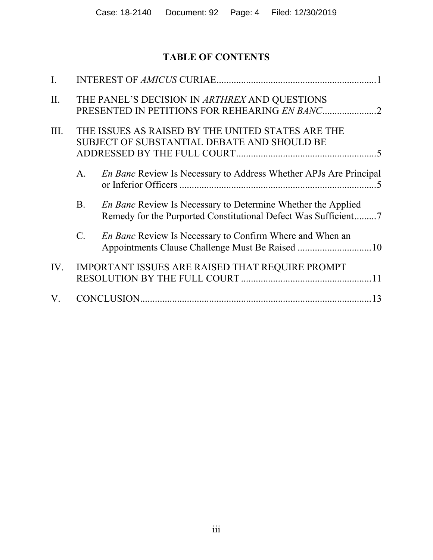# **TABLE OF CONTENTS**

| I.  |                                                                                                  |                                                                                                                                       |
|-----|--------------------------------------------------------------------------------------------------|---------------------------------------------------------------------------------------------------------------------------------------|
| II. | THE PANEL'S DECISION IN ARTHREX AND QUESTIONS                                                    |                                                                                                                                       |
| Ш.  | THE ISSUES AS RAISED BY THE UNITED STATES ARE THE<br>SUBJECT OF SUBSTANTIAL DEBATE AND SHOULD BE |                                                                                                                                       |
|     | А.                                                                                               | En Banc Review Is Necessary to Address Whether APJs Are Principal                                                                     |
|     | B.                                                                                               | <i>En Banc</i> Review Is Necessary to Determine Whether the Applied<br>Remedy for the Purported Constitutional Defect Was Sufficient7 |
|     | C.                                                                                               | En Banc Review Is Necessary to Confirm Where and When an                                                                              |
| IV. | IMPORTANT ISSUES ARE RAISED THAT REQUIRE PROMPT                                                  |                                                                                                                                       |
| V.  |                                                                                                  |                                                                                                                                       |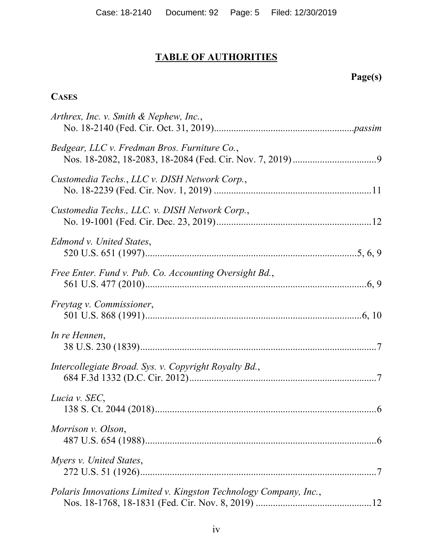# **TABLE OF AUTHORITIES**

# **Page(s)**

## **CASES**

| Arthrex, Inc. v. Smith & Nephew, Inc.,                            |
|-------------------------------------------------------------------|
| Bedgear, LLC v. Fredman Bros. Furniture Co.,                      |
| Customedia Techs., LLC v. DISH Network Corp.,                     |
| Customedia Techs., LLC. v. DISH Network Corp.,                    |
| Edmond v. United States,                                          |
| Free Enter. Fund v. Pub. Co. Accounting Oversight Bd.,            |
| Freytag v. Commissioner,                                          |
| In re Hennen,                                                     |
| Intercollegiate Broad. Sys. v. Copyright Royalty Bd.,             |
| Lucia v. SEC,                                                     |
| Morrison v. Olson,                                                |
| Myers v. United States,                                           |
| Polaris Innovations Limited v. Kingston Technology Company, Inc., |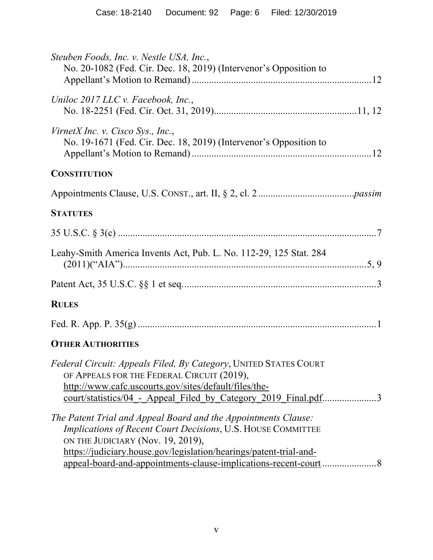| Steuben Foods, Inc. v. Nestle USA, Inc.,<br>No. 20-1082 (Fed. Cir. Dec. 18, 2019) (Intervenor's Opposition to                                                                                                                                   |
|-------------------------------------------------------------------------------------------------------------------------------------------------------------------------------------------------------------------------------------------------|
| Uniloc 2017 LLC v. Facebook, Inc.,                                                                                                                                                                                                              |
| VirnetX Inc. v. Cisco Sys., Inc.,<br>No. 19-1671 (Fed. Cir. Dec. 18, 2019) (Intervenor's Opposition to                                                                                                                                          |
| <b>CONSTITUTION</b>                                                                                                                                                                                                                             |
|                                                                                                                                                                                                                                                 |
| <b>STATUTES</b>                                                                                                                                                                                                                                 |
|                                                                                                                                                                                                                                                 |
| Leahy-Smith America Invents Act, Pub. L. No. 112-29, 125 Stat. 284                                                                                                                                                                              |
|                                                                                                                                                                                                                                                 |
| <b>RULES</b>                                                                                                                                                                                                                                    |
|                                                                                                                                                                                                                                                 |
| <b>OTHER AUTHORITIES</b>                                                                                                                                                                                                                        |
| Federal Circuit: Appeals Filed, By Category, UNITED STATES COURT<br>OF APPEALS FOR THE FEDERAL CIRCUIT (2019),<br>http://www.cafc.uscourts.gov/sites/default/files/the-<br>court/statistics/04 - Appeal Filed by Category 2019 Final.pdf<br>. 3 |
| The Patent Trial and Appeal Board and the Appointments Clause:<br>Implications of Recent Court Decisions, U.S. HOUSE COMMITTEE<br>ON THE JUDICIARY (Nov. 19, 2019),<br>https://judiciary.house.gov/legislation/hearings/patent-trial-and-       |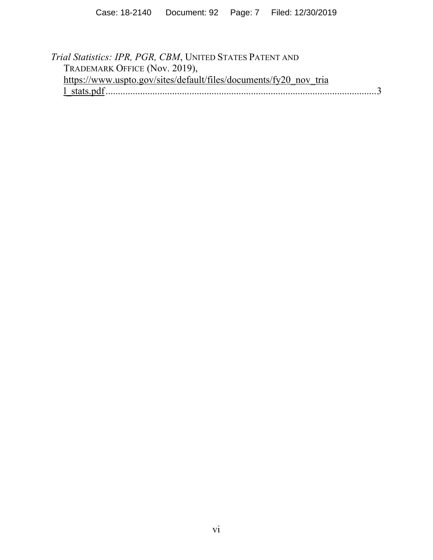*Trial Statistics: IPR, PGR, CBM*, UNITED STATES PATENT AND TRADEMARK OFFICE (Nov. 2019), https://www.uspto.gov/sites/default/files/documents/fy20\_nov\_tria l\_stats.pdf .............................................................................................................. 3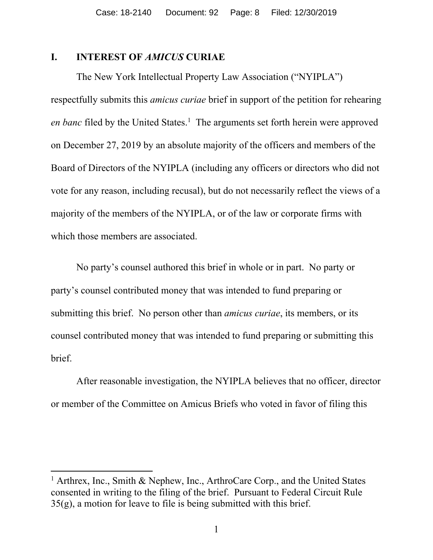#### **I. INTEREST OF** *AMICUS* **CURIAE**

The New York Intellectual Property Law Association ("NYIPLA") respectfully submits this *amicus curiae* brief in support of the petition for rehearing en banc filed by the United States.<sup>1</sup> The arguments set forth herein were approved on December 27, 2019 by an absolute majority of the officers and members of the Board of Directors of the NYIPLA (including any officers or directors who did not vote for any reason, including recusal), but do not necessarily reflect the views of a majority of the members of the NYIPLA, or of the law or corporate firms with which those members are associated.

No party's counsel authored this brief in whole or in part. No party or party's counsel contributed money that was intended to fund preparing or submitting this brief. No person other than *amicus curiae*, its members, or its counsel contributed money that was intended to fund preparing or submitting this brief.

After reasonable investigation, the NYIPLA believes that no officer, director or member of the Committee on Amicus Briefs who voted in favor of filing this

<sup>&</sup>lt;sup>1</sup> Arthrex, Inc., Smith & Nephew, Inc., ArthroCare Corp., and the United States consented in writing to the filing of the brief. Pursuant to Federal Circuit Rule  $35(g)$ , a motion for leave to file is being submitted with this brief.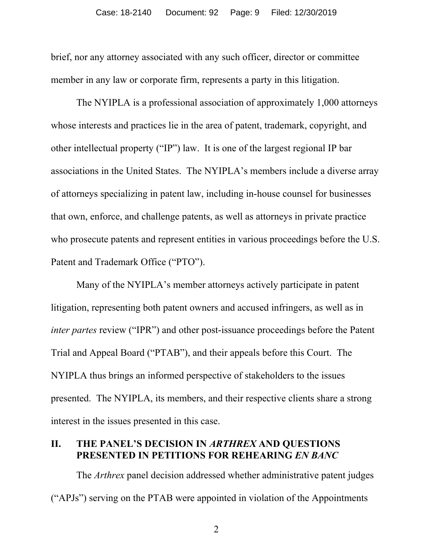brief, nor any attorney associated with any such officer, director or committee member in any law or corporate firm, represents a party in this litigation.

The NYIPLA is a professional association of approximately 1,000 attorneys whose interests and practices lie in the area of patent, trademark, copyright, and other intellectual property ("IP") law. It is one of the largest regional IP bar associations in the United States. The NYIPLA's members include a diverse array of attorneys specializing in patent law, including in-house counsel for businesses that own, enforce, and challenge patents, as well as attorneys in private practice who prosecute patents and represent entities in various proceedings before the U.S. Patent and Trademark Office ("PTO").

Many of the NYIPLA's member attorneys actively participate in patent litigation, representing both patent owners and accused infringers, as well as in *inter partes review ("IPR")* and other post-issuance proceedings before the Patent Trial and Appeal Board ("PTAB"), and their appeals before this Court. The NYIPLA thus brings an informed perspective of stakeholders to the issues presented. The NYIPLA, its members, and their respective clients share a strong interest in the issues presented in this case.

#### **II. THE PANEL'S DECISION IN** *ARTHREX* **AND QUESTIONS PRESENTED IN PETITIONS FOR REHEARING** *EN BANC*

The *Arthrex* panel decision addressed whether administrative patent judges ("APJs") serving on the PTAB were appointed in violation of the Appointments

2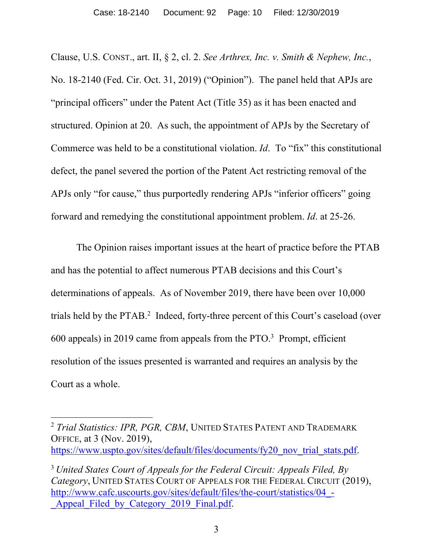Clause, U.S. CONST., art. II, § 2, cl. 2. *See Arthrex, Inc. v. Smith & Nephew, Inc.*, No. 18-2140 (Fed. Cir. Oct. 31, 2019) ("Opinion"). The panel held that APJs are "principal officers" under the Patent Act (Title 35) as it has been enacted and structured. Opinion at 20. As such, the appointment of APJs by the Secretary of Commerce was held to be a constitutional violation. *Id*. To "fix" this constitutional defect, the panel severed the portion of the Patent Act restricting removal of the APJs only "for cause," thus purportedly rendering APJs "inferior officers" going forward and remedying the constitutional appointment problem. *Id*. at 25-26.

The Opinion raises important issues at the heart of practice before the PTAB and has the potential to affect numerous PTAB decisions and this Court's determinations of appeals. As of November 2019, there have been over 10,000 trials held by the PTAB.<sup>2</sup> Indeed, forty-three percent of this Court's caseload (over  $600$  appeals) in 2019 came from appeals from the PTO.<sup>3</sup> Prompt, efficient resolution of the issues presented is warranted and requires an analysis by the Court as a whole.

<sup>2</sup> *Trial Statistics: IPR, PGR, CBM*, UNITED STATES PATENT AND TRADEMARK OFFICE, at 3 (Nov. 2019), https://www.uspto.gov/sites/default/files/documents/fy20\_nov\_trial\_stats.pdf.

<sup>3</sup> *United States Court of Appeals for the Federal Circuit: Appeals Filed, By Category*, UNITED STATES COURT OF APPEALS FOR THE FEDERAL CIRCUIT (2019), http://www.cafc.uscourts.gov/sites/default/files/the-court/statistics/04\_- Appeal Filed by Category 2019 Final.pdf.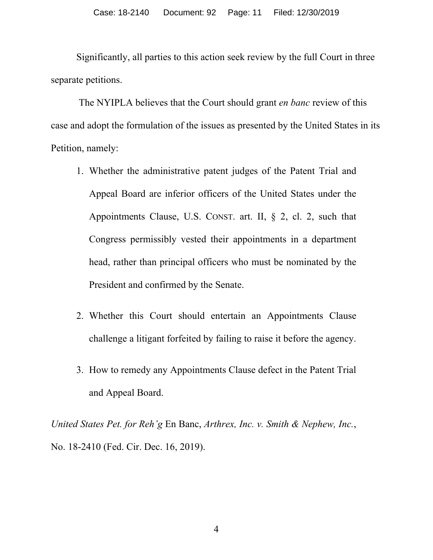Significantly, all parties to this action seek review by the full Court in three separate petitions.

 The NYIPLA believes that the Court should grant *en banc* review of this case and adopt the formulation of the issues as presented by the United States in its Petition, namely:

- 1. Whether the administrative patent judges of the Patent Trial and Appeal Board are inferior officers of the United States under the Appointments Clause, U.S. CONST. art. II, § 2, cl. 2, such that Congress permissibly vested their appointments in a department head, rather than principal officers who must be nominated by the President and confirmed by the Senate.
- 2. Whether this Court should entertain an Appointments Clause challenge a litigant forfeited by failing to raise it before the agency.
- 3. How to remedy any Appointments Clause defect in the Patent Trial and Appeal Board.

*United States Pet. for Reh'g* En Banc, *Arthrex, Inc. v. Smith & Nephew, Inc.*, No. 18-2410 (Fed. Cir. Dec. 16, 2019).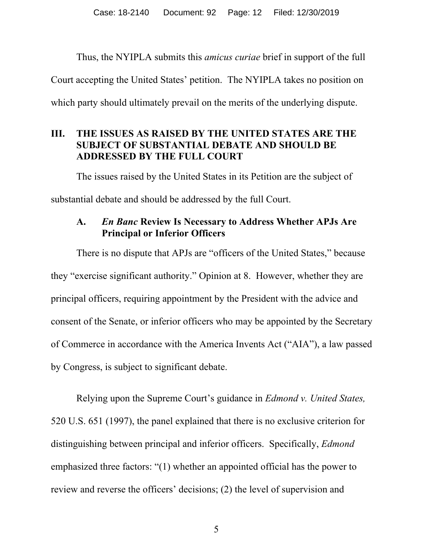Thus, the NYIPLA submits this *amicus curiae* brief in support of the full Court accepting the United States' petition. The NYIPLA takes no position on which party should ultimately prevail on the merits of the underlying dispute.

## **III. THE ISSUES AS RAISED BY THE UNITED STATES ARE THE SUBJECT OF SUBSTANTIAL DEBATE AND SHOULD BE ADDRESSED BY THE FULL COURT**

The issues raised by the United States in its Petition are the subject of substantial debate and should be addressed by the full Court.

## **A.** *En Banc* **Review Is Necessary to Address Whether APJs Are Principal or Inferior Officers**

There is no dispute that APJs are "officers of the United States," because they "exercise significant authority." Opinion at 8. However, whether they are principal officers, requiring appointment by the President with the advice and consent of the Senate, or inferior officers who may be appointed by the Secretary of Commerce in accordance with the America Invents Act ("AIA"), a law passed by Congress, is subject to significant debate.

Relying upon the Supreme Court's guidance in *Edmond v. United States,* 520 U.S. 651 (1997), the panel explained that there is no exclusive criterion for distinguishing between principal and inferior officers. Specifically, *Edmond*  emphasized three factors: "(1) whether an appointed official has the power to review and reverse the officers' decisions; (2) the level of supervision and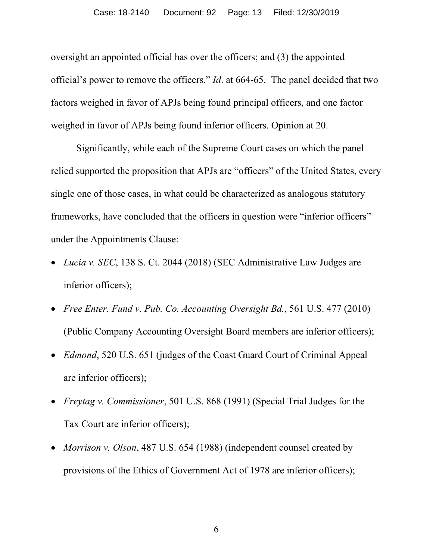oversight an appointed official has over the officers; and (3) the appointed official's power to remove the officers." *Id*. at 664-65. The panel decided that two factors weighed in favor of APJs being found principal officers, and one factor weighed in favor of APJs being found inferior officers. Opinion at 20.

Significantly, while each of the Supreme Court cases on which the panel relied supported the proposition that APJs are "officers" of the United States, every single one of those cases, in what could be characterized as analogous statutory frameworks, have concluded that the officers in question were "inferior officers" under the Appointments Clause:

- *Lucia v. SEC*, 138 S. Ct. 2044 (2018) (SEC Administrative Law Judges are inferior officers);
- *Free Enter. Fund v. Pub. Co. Accounting Oversight Bd.*, 561 U.S. 477 (2010) (Public Company Accounting Oversight Board members are inferior officers);
- *Edmond*, 520 U.S. 651 (judges of the Coast Guard Court of Criminal Appeal are inferior officers);
- *Freytag v. Commissioner*, 501 U.S. 868 (1991) (Special Trial Judges for the Tax Court are inferior officers);
- *Morrison v. Olson*, 487 U.S. 654 (1988) (independent counsel created by provisions of the Ethics of Government Act of 1978 are inferior officers);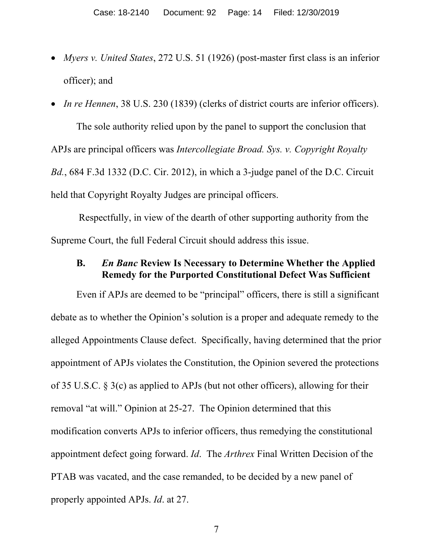*Myers v. United States*, 272 U.S. 51 (1926) (post-master first class is an inferior officer); and

 *In re Hennen*, 38 U.S. 230 (1839) (clerks of district courts are inferior officers). The sole authority relied upon by the panel to support the conclusion that APJs are principal officers was *Intercollegiate Broad. Sys. v. Copyright Royalty Bd.*, 684 F.3d 1332 (D.C. Cir. 2012), in which a 3-judge panel of the D.C. Circuit held that Copyright Royalty Judges are principal officers.

 Respectfully, in view of the dearth of other supporting authority from the Supreme Court, the full Federal Circuit should address this issue.

#### **B.** *En Banc* **Review Is Necessary to Determine Whether the Applied Remedy for the Purported Constitutional Defect Was Sufficient**

Even if APJs are deemed to be "principal" officers, there is still a significant debate as to whether the Opinion's solution is a proper and adequate remedy to the alleged Appointments Clause defect. Specifically, having determined that the prior appointment of APJs violates the Constitution, the Opinion severed the protections of 35 U.S.C. § 3(c) as applied to APJs (but not other officers), allowing for their removal "at will." Opinion at 25-27. The Opinion determined that this modification converts APJs to inferior officers, thus remedying the constitutional appointment defect going forward. *Id*. The *Arthrex* Final Written Decision of the PTAB was vacated, and the case remanded, to be decided by a new panel of properly appointed APJs. *Id*. at 27.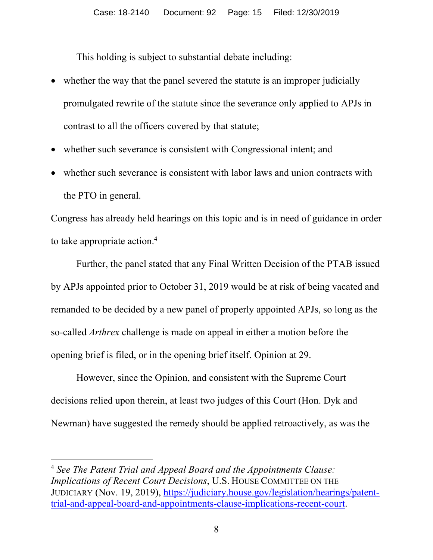This holding is subject to substantial debate including:

- whether the way that the panel severed the statute is an improper judicially promulgated rewrite of the statute since the severance only applied to APJs in contrast to all the officers covered by that statute;
- whether such severance is consistent with Congressional intent; and
- whether such severance is consistent with labor laws and union contracts with the PTO in general.

Congress has already held hearings on this topic and is in need of guidance in order to take appropriate action.<sup>4</sup>

Further, the panel stated that any Final Written Decision of the PTAB issued by APJs appointed prior to October 31, 2019 would be at risk of being vacated and remanded to be decided by a new panel of properly appointed APJs, so long as the so-called *Arthrex* challenge is made on appeal in either a motion before the opening brief is filed, or in the opening brief itself. Opinion at 29.

However, since the Opinion, and consistent with the Supreme Court decisions relied upon therein, at least two judges of this Court (Hon. Dyk and Newman) have suggested the remedy should be applied retroactively, as was the

<sup>4</sup> *See The Patent Trial and Appeal Board and the Appointments Clause: Implications of Recent Court Decisions*, U.S. HOUSE COMMITTEE ON THE JUDICIARY (Nov. 19, 2019), https://judiciary.house.gov/legislation/hearings/patenttrial-and-appeal-board-and-appointments-clause-implications-recent-court.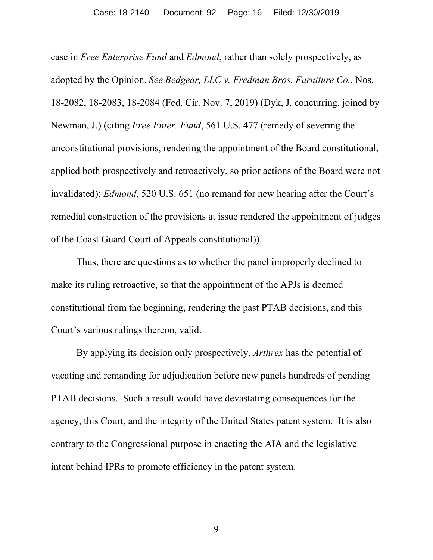case in *Free Enterprise Fund* and *Edmond*, rather than solely prospectively, as adopted by the Opinion. *See Bedgear, LLC v. Fredman Bros. Furniture Co.*, Nos. 18-2082, 18-2083, 18-2084 (Fed. Cir. Nov. 7, 2019) (Dyk, J. concurring, joined by Newman, J.) (citing *Free Enter. Fund*, 561 U.S. 477 (remedy of severing the unconstitutional provisions, rendering the appointment of the Board constitutional, applied both prospectively and retroactively, so prior actions of the Board were not invalidated); *Edmond*, 520 U.S. 651 (no remand for new hearing after the Court's remedial construction of the provisions at issue rendered the appointment of judges of the Coast Guard Court of Appeals constitutional)).

Thus, there are questions as to whether the panel improperly declined to make its ruling retroactive, so that the appointment of the APJs is deemed constitutional from the beginning, rendering the past PTAB decisions, and this Court's various rulings thereon, valid.

By applying its decision only prospectively, *Arthrex* has the potential of vacating and remanding for adjudication before new panels hundreds of pending PTAB decisions. Such a result would have devastating consequences for the agency, this Court, and the integrity of the United States patent system. It is also contrary to the Congressional purpose in enacting the AIA and the legislative intent behind IPRs to promote efficiency in the patent system.

9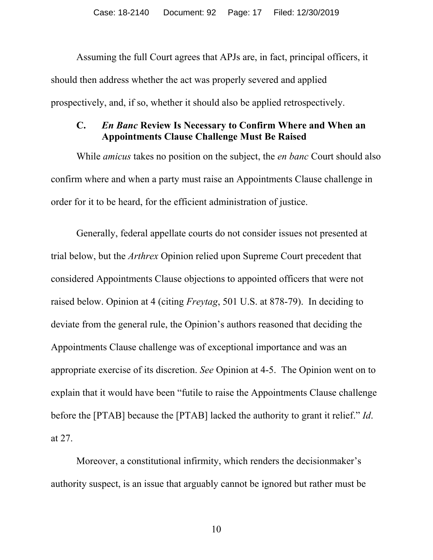Assuming the full Court agrees that APJs are, in fact, principal officers, it should then address whether the act was properly severed and applied prospectively, and, if so, whether it should also be applied retrospectively.

#### **C.** *En Banc* **Review Is Necessary to Confirm Where and When an Appointments Clause Challenge Must Be Raised**

While *amicus* takes no position on the subject, the *en banc* Court should also confirm where and when a party must raise an Appointments Clause challenge in order for it to be heard, for the efficient administration of justice.

Generally, federal appellate courts do not consider issues not presented at trial below, but the *Arthrex* Opinion relied upon Supreme Court precedent that considered Appointments Clause objections to appointed officers that were not raised below. Opinion at 4 (citing *Freytag*, 501 U.S. at 878-79). In deciding to deviate from the general rule, the Opinion's authors reasoned that deciding the Appointments Clause challenge was of exceptional importance and was an appropriate exercise of its discretion. *See* Opinion at 4-5. The Opinion went on to explain that it would have been "futile to raise the Appointments Clause challenge before the [PTAB] because the [PTAB] lacked the authority to grant it relief." *Id*. at 27.

Moreover, a constitutional infirmity, which renders the decisionmaker's authority suspect, is an issue that arguably cannot be ignored but rather must be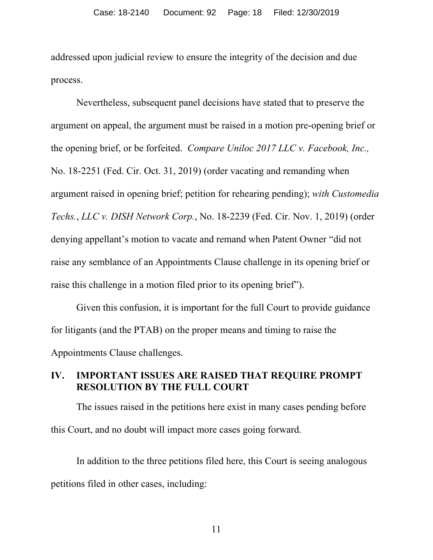addressed upon judicial review to ensure the integrity of the decision and due process.

Nevertheless, subsequent panel decisions have stated that to preserve the argument on appeal, the argument must be raised in a motion pre-opening brief or the opening brief, or be forfeited. *Compare Uniloc 2017 LLC v. Facebook, Inc.,*  No. 18-2251 (Fed. Cir. Oct. 31, 2019) (order vacating and remanding when argument raised in opening brief; petition for rehearing pending); *with Customedia Techs.*, *LLC v. DISH Network Corp.*, No. 18-2239 (Fed. Cir. Nov. 1, 2019) (order denying appellant's motion to vacate and remand when Patent Owner "did not raise any semblance of an Appointments Clause challenge in its opening brief or raise this challenge in a motion filed prior to its opening brief").

Given this confusion, it is important for the full Court to provide guidance for litigants (and the PTAB) on the proper means and timing to raise the Appointments Clause challenges.

## **IV. IMPORTANT ISSUES ARE RAISED THAT REQUIRE PROMPT RESOLUTION BY THE FULL COURT**

The issues raised in the petitions here exist in many cases pending before this Court, and no doubt will impact more cases going forward.

In addition to the three petitions filed here, this Court is seeing analogous petitions filed in other cases, including: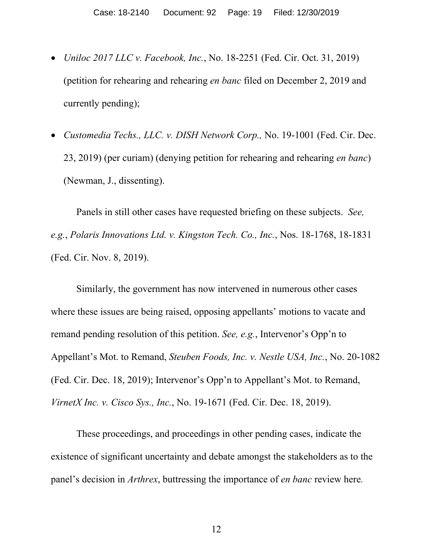- *Uniloc 2017 LLC v. Facebook, Inc.*, No. 18-2251 (Fed. Cir. Oct. 31, 2019) (petition for rehearing and rehearing *en banc* filed on December 2, 2019 and currently pending);
- *Customedia Techs., LLC. v. DISH Network Corp.,* No. 19-1001 (Fed. Cir. Dec. 23, 2019) (per curiam) (denying petition for rehearing and rehearing *en banc*) (Newman, J., dissenting).

Panels in still other cases have requested briefing on these subjects. *See, e.g.*, *Polaris Innovations Ltd. v. Kingston Tech. Co., Inc.*, Nos. 18-1768, 18-1831 (Fed. Cir. Nov. 8, 2019).

Similarly, the government has now intervened in numerous other cases where these issues are being raised, opposing appellants' motions to vacate and remand pending resolution of this petition. *See, e.g.*, Intervenor's Opp'n to Appellant's Mot. to Remand, *Steuben Foods, Inc. v. Nestle USA, Inc.*, No. 20-1082 (Fed. Cir. Dec. 18, 2019); Intervenor's Opp'n to Appellant's Mot. to Remand, *VirnetX Inc. v. Cisco Sys., Inc.*, No. 19-1671 (Fed. Cir. Dec. 18, 2019).

These proceedings, and proceedings in other pending cases, indicate the existence of significant uncertainty and debate amongst the stakeholders as to the panel's decision in *Arthrex*, buttressing the importance of *en banc* review here*.*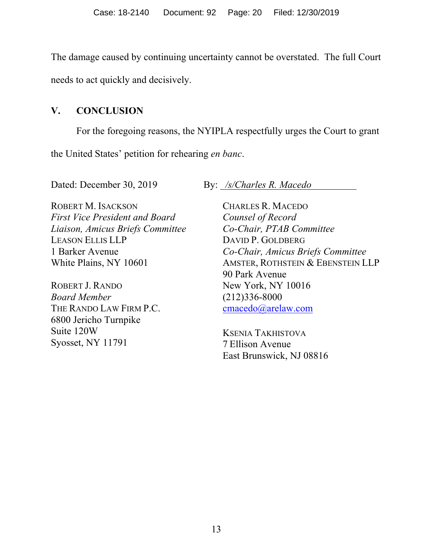The damage caused by continuing uncertainty cannot be overstated. The full Court needs to act quickly and decisively.

#### **V. CONCLUSION**

For the foregoing reasons, the NYIPLA respectfully urges the Court to grant

the United States' petition for rehearing *en banc*.

Dated: December 30, 2019 By: */s/Charles R. Macedo* 

ROBERT M. ISACKSON *First Vice President and Board Liaison, Amicus Briefs Committee*  LEASON ELLIS LLP 1 Barker Avenue White Plains, NY 10601

ROBERT J. RANDO *Board Member*  THE RANDO LAW FIRM P.C. 6800 Jericho Turnpike Suite 120W Syosset, NY 11791

CHARLES R. MACEDO *Counsel of Record Co-Chair, PTAB Committee*  DAVID P. GOLDBERG *Co-Chair, Amicus Briefs Committee*  AMSTER, ROTHSTEIN & EBENSTEIN LLP 90 Park Avenue New York, NY 10016 (212)336-8000 cmacedo@arelaw.com

KSENIA TAKHISTOVA 7 Ellison Avenue East Brunswick, NJ 08816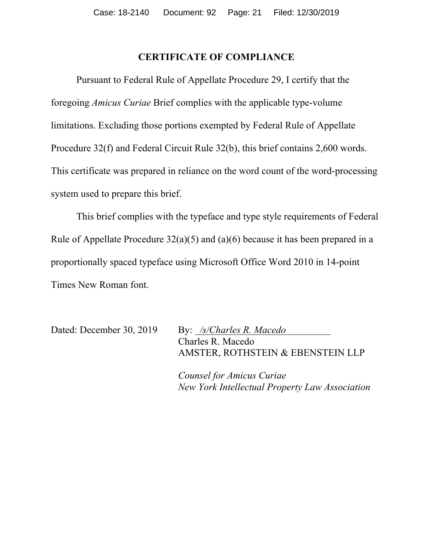#### **CERTIFICATE OF COMPLIANCE**

Pursuant to Federal Rule of Appellate Procedure 29, I certify that the foregoing *Amicus Curiae* Brief complies with the applicable type-volume limitations. Excluding those portions exempted by Federal Rule of Appellate Procedure 32(f) and Federal Circuit Rule 32(b), this brief contains 2,600 words. This certificate was prepared in reliance on the word count of the word-processing system used to prepare this brief.

This brief complies with the typeface and type style requirements of Federal Rule of Appellate Procedure 32(a)(5) and (a)(6) because it has been prepared in a proportionally spaced typeface using Microsoft Office Word 2010 in 14-point Times New Roman font.

Dated: December 30, 2019 By: */s/Charles R. Macedo* Charles R. Macedo AMSTER, ROTHSTEIN & EBENSTEIN LLP

> *Counsel for Amicus Curiae New York Intellectual Property Law Association*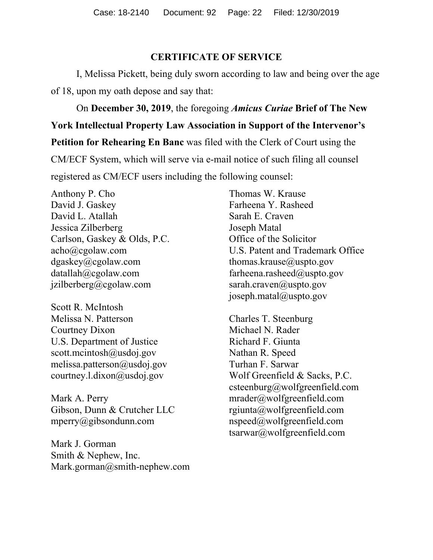#### **CERTIFICATE OF SERVICE**

I, Melissa Pickett, being duly sworn according to law and being over the age of 18, upon my oath depose and say that:

On **December 30, 2019**, the foregoing *Amicus Curiae* **Brief of The New York Intellectual Property Law Association in Support of the Intervenor's Petition for Rehearing En Banc** was filed with the Clerk of Court using the CM/ECF System, which will serve via e-mail notice of such filing all counsel registered as CM/ECF users including the following counsel:

Anthony P. Cho David J. Gaskey David L. Atallah Jessica Zilberberg Carlson, Gaskey & Olds, P.C. acho@cgolaw.com dgaskey@cgolaw.com datallah@cgolaw.com jzilberberg@cgolaw.com

Scott R. McIntosh Melissa N. Patterson Courtney Dixon U.S. Department of Justice scott.mcintosh@usdoj.gov melissa.patterson@usdoj.gov courtney.l.dixon@usdoj.gov

Mark A. Perry Gibson, Dunn & Crutcher LLC mperry@gibsondunn.com

Mark J. Gorman Smith & Nephew, Inc. Mark.gorman@smith-nephew.com

Thomas W. Krause Farheena Y. Rasheed Sarah E. Craven Joseph Matal Office of the Solicitor U.S. Patent and Trademark Office thomas.krause@uspto.gov farheena.rasheed@uspto.gov sarah.craven@uspto.gov joseph.matal@uspto.gov

Charles T. Steenburg Michael N. Rader Richard F. Giunta Nathan R. Speed Turhan F. Sarwar Wolf Greenfield & Sacks, P.C. csteenburg@wolfgreenfield.com mrader@wolfgreenfield.com rgiunta@wolfgreenfield.com nspeed@wolfgreenfield.com tsarwar@wolfgreenfield.com